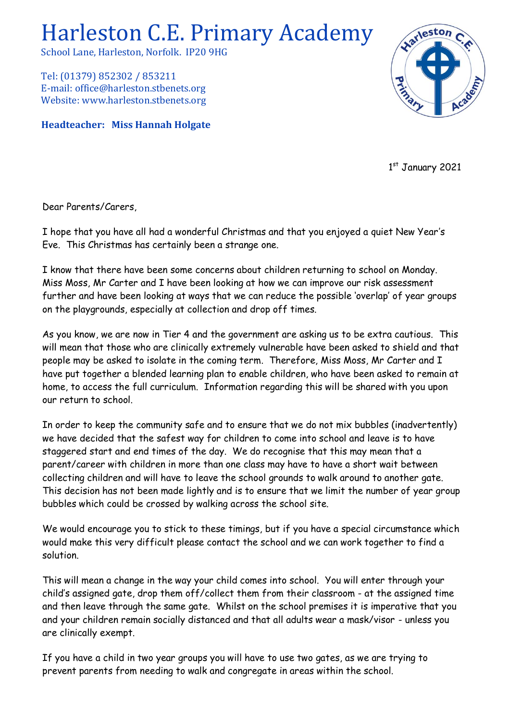## Harleston C.E. Primary Academy

School Lane, Harleston, Norfolk. IP20 9HG

Tel: (01379) 852302 / 853211 E-mail: office@harleston.stbenets.org Website: www.harleston.stbenets.org

**Headteacher: Miss Hannah Holgate**



1st January 2021

Dear Parents/Carers,

I hope that you have all had a wonderful Christmas and that you enjoyed a quiet New Year's Eve. This Christmas has certainly been a strange one.

I know that there have been some concerns about children returning to school on Monday. Miss Moss, Mr Carter and I have been looking at how we can improve our risk assessment further and have been looking at ways that we can reduce the possible 'overlap' of year groups on the playgrounds, especially at collection and drop off times.

As you know, we are now in Tier 4 and the government are asking us to be extra cautious. This will mean that those who are clinically extremely vulnerable have been asked to shield and that people may be asked to isolate in the coming term. Therefore, Miss Moss, Mr Carter and I have put together a blended learning plan to enable children, who have been asked to remain at home, to access the full curriculum. Information regarding this will be shared with you upon our return to school.

In order to keep the community safe and to ensure that we do not mix bubbles (inadvertently) we have decided that the safest way for children to come into school and leave is to have staggered start and end times of the day. We do recognise that this may mean that a parent/career with children in more than one class may have to have a short wait between collecting children and will have to leave the school grounds to walk around to another gate. This decision has not been made lightly and is to ensure that we limit the number of year group bubbles which could be crossed by walking across the school site.

We would encourage you to stick to these timings, but if you have a special circumstance which would make this very difficult please contact the school and we can work together to find a solution.

This will mean a change in the way your child comes into school. You will enter through your child's assigned gate, drop them off/collect them from their classroom - at the assigned time and then leave through the same gate. Whilst on the school premises it is imperative that you and your children remain socially distanced and that all adults wear a mask/visor - unless you are clinically exempt.

If you have a child in two year groups you will have to use two gates, as we are trying to prevent parents from needing to walk and congregate in areas within the school.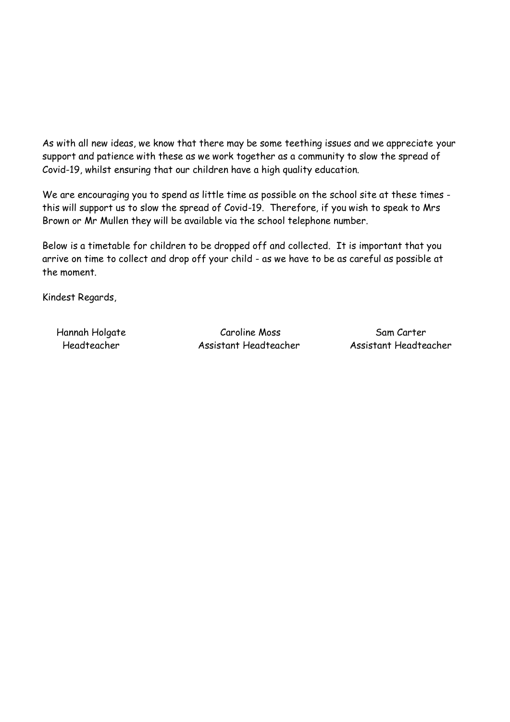As with all new ideas, we know that there may be some teething issues and we appreciate your support and patience with these as we work together as a community to slow the spread of Covid-19, whilst ensuring that our children have a high quality education.

We are encouraging you to spend as little time as possible on the school site at these times this will support us to slow the spread of Covid-19. Therefore, if you wish to speak to Mrs Brown or Mr Mullen they will be available via the school telephone number.

Below is a timetable for children to be dropped off and collected. It is important that you arrive on time to collect and drop off your child - as we have to be as careful as possible at the moment.

Kindest Regards,

Hannah Holgate Caroline Moss Sam Carter Headteacher Assistant Headteacher Assistant Headteacher